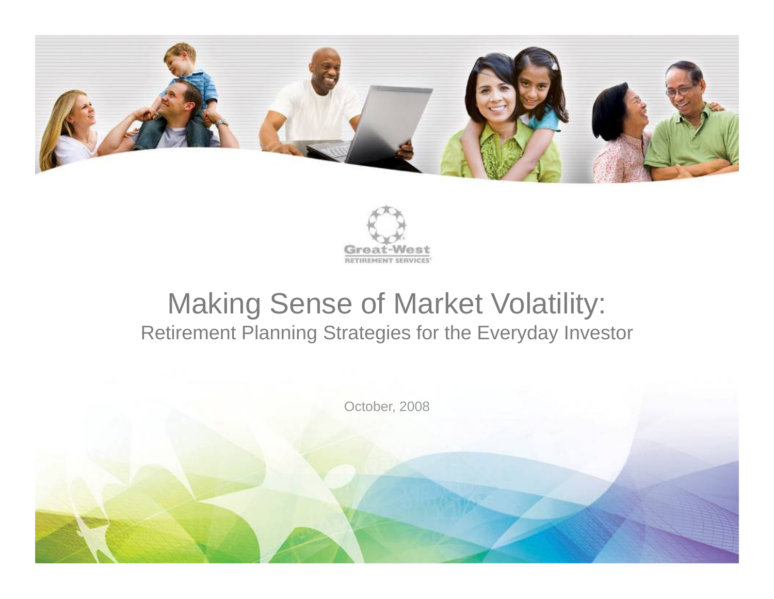



# Making Sense of Market Volatility: Retirement Planning Strategies for the Everyday Investor

October, 2008

1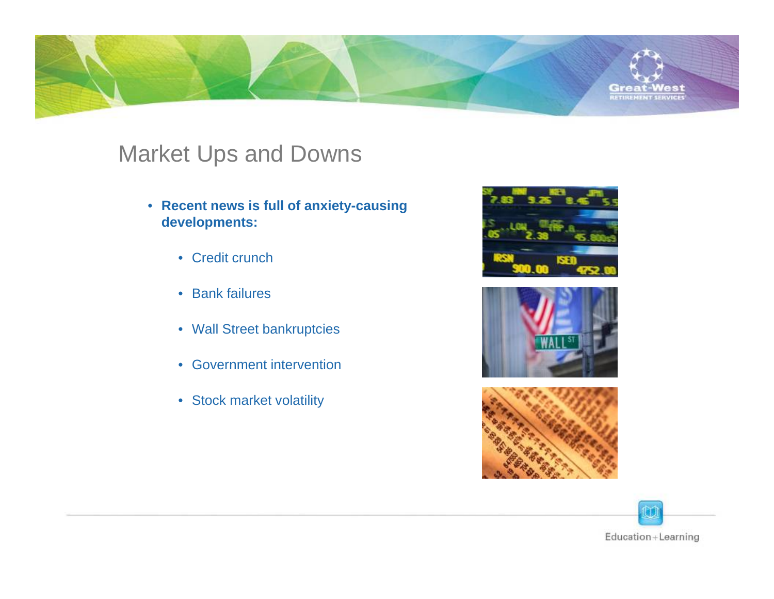

# Market Ups and Downs

- **Recent news is full of anxiety-causing developments:**
	- Credit crunch
	- Bank failures
	- Wall Street bankruptcies
	- Government intervention
	- Stock market volatility







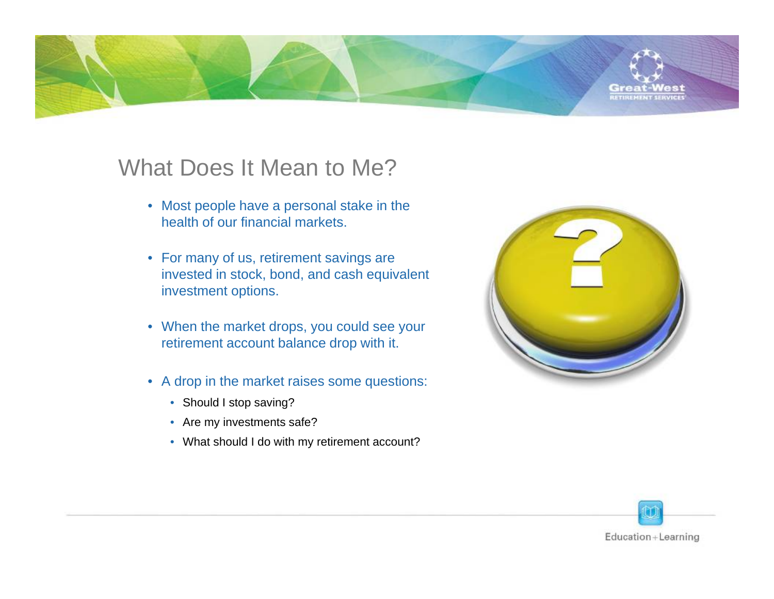

# What Does It Mean to Me?

- Most people have a personal stake in the health of our financial markets.
- For many of us, retirement savings are invested in stock, bond, and cash equivalent investment options.
- When the market drops, you could see your retirement account balance drop with it.
- A drop in the market raises some questions:
	- Should I stop saving?
	- Are my investments safe?
	- What should I do with my retirement account?



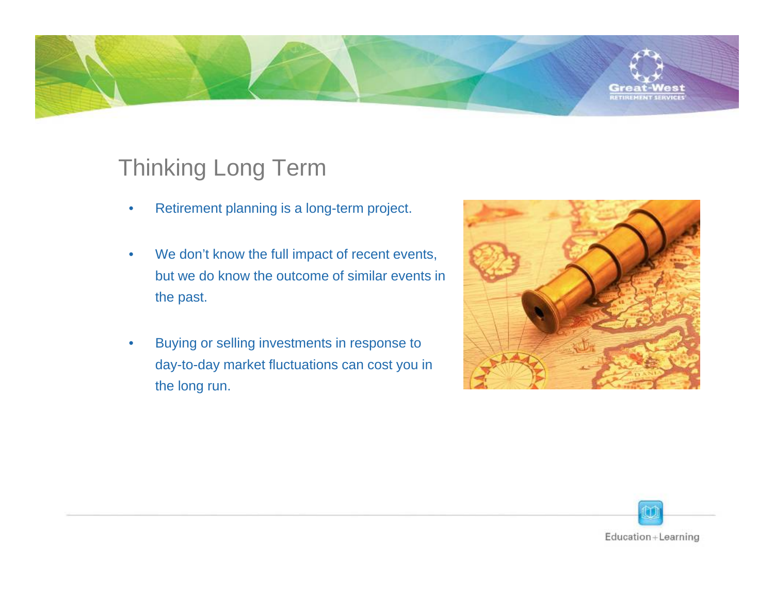

# Thinking Long Term

- •Retirement planning is a long-term project.
- • We don't know the full impact of recent events, but we do know the outcome of similar events in the past.
- • Buying or selling investments in response to day-to-day market fluctuations can cost you in the long run.



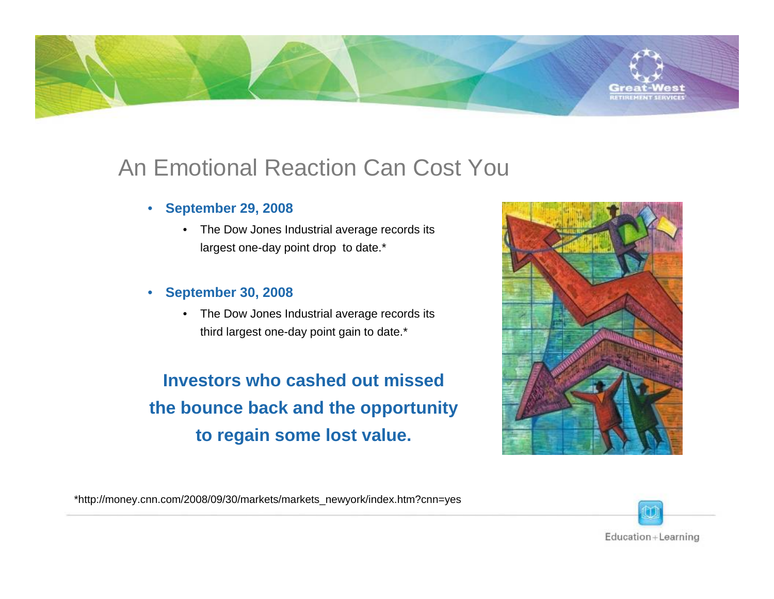

- • **September 29, 2008**
	- • The Dow Jones Industrial average records its largest one-day point drop to date.\*

#### •**September 30, 2008**

 $\bullet$  The Dow Jones Industrial average records its third largest one-day point gain to date.\*

**Investors who cashed out missed the bounce back and the opportunity to regain some lost value.**



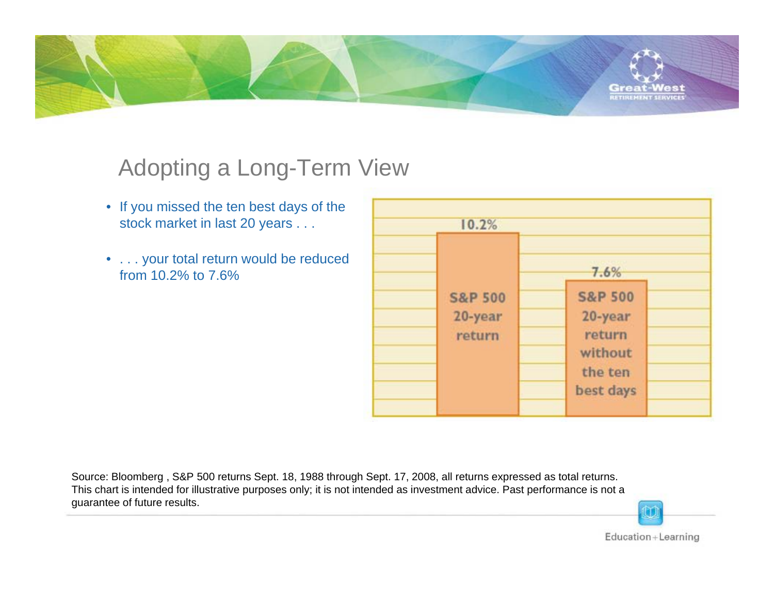

# Adopting a Long-Term View

- If you missed the ten best days of the stock market in last 20 years . . .
- . . . your total return would be reduced from 10.2% to 7.6%

| 10.2%                                   |                                                                            |
|-----------------------------------------|----------------------------------------------------------------------------|
|                                         | 7.6%                                                                       |
| <b>S&amp;P 500</b><br>20-year<br>return | <b>S&amp;P 500</b><br>20-year<br>return<br>without<br>the ten<br>best days |

Source: Bloomberg , S&P 500 returns Sept. 18, 1988 through Sept. 17, 2008, all returns expressed as total returns. This chart is intended for illustrative purposes only; it is not intended as investment advice. Past performance is not a guarantee of future results.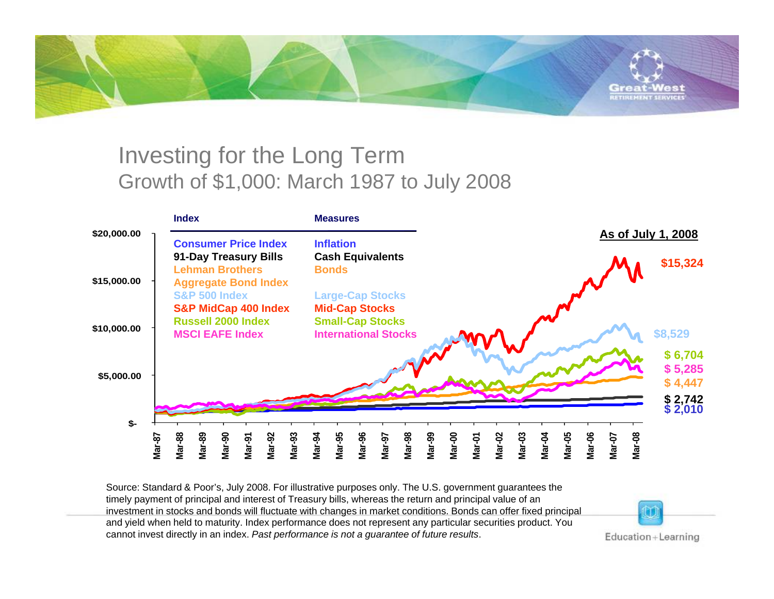

# Investing for the Long Term Growth of \$1,000: March 1987 to July 2008

|             | <b>Index</b>                                                                                            | <b>Measures</b>                                                               |                                                                                                                             |
|-------------|---------------------------------------------------------------------------------------------------------|-------------------------------------------------------------------------------|-----------------------------------------------------------------------------------------------------------------------------|
| \$20,000.00 | <b>Consumer Price Index</b>                                                                             | <b>Inflation</b>                                                              | As of July 1, 2008                                                                                                          |
| \$15,000.00 | 91-Day Treasury Bills<br><b>Lehman Brothers</b><br><b>Aggregate Bond Index</b>                          | <b>Cash Equivalents</b><br><b>Bonds</b>                                       | \$15,324                                                                                                                    |
|             | <b>S&amp;P 500 Index</b><br><b>S&amp;P MidCap 400 Index</b>                                             | <b>Large-Cap Stocks</b><br><b>Mid-Cap Stocks</b>                              |                                                                                                                             |
| \$10,000.00 | <b>Russell 2000 Index</b><br><b>MSCI EAFE Index</b>                                                     | <b>Small-Cap Stocks</b><br><b>International Stocks</b>                        | \$8,529                                                                                                                     |
| \$5,000.00  |                                                                                                         |                                                                               | \$6,704<br>\$5,285<br>\$4,447                                                                                               |
|             |                                                                                                         |                                                                               | $$2,742$<br>$$2,010$                                                                                                        |
| \$-         |                                                                                                         |                                                                               |                                                                                                                             |
|             | <b>Mar-88</b><br><b>Mar-90</b><br><b>Mar-92</b><br><b>Mar-93</b><br>Mar-89<br><b>Mar-87</b><br>$Mar-91$ | Mar-96<br><b>Mar-98</b><br>Mar-95<br>Mar-99<br><b>Mar-94</b><br><b>Mar-97</b> | <b>Mar-08</b><br><b>Mar-06</b><br><b>Mar-00</b><br><b>Mar-02</b><br><b>Mar-03</b><br>Mar-05<br>Mar-07<br>Mar-04<br>$Mar-01$ |

Source: Standard & Poor's, July 2008. For illustrative purposes only. The U.S. government guarantees the timely payment of principal and interest of Treasury bills, whereas the return and principal value of an investment in stocks and bonds will fluctuate with changes in market conditions. Bonds can offer fixed principal and yield when held to maturity. Index performance does not represent any particular securities product. You cannot invest directly in an index. *Past performance is not a guarantee of future results*.

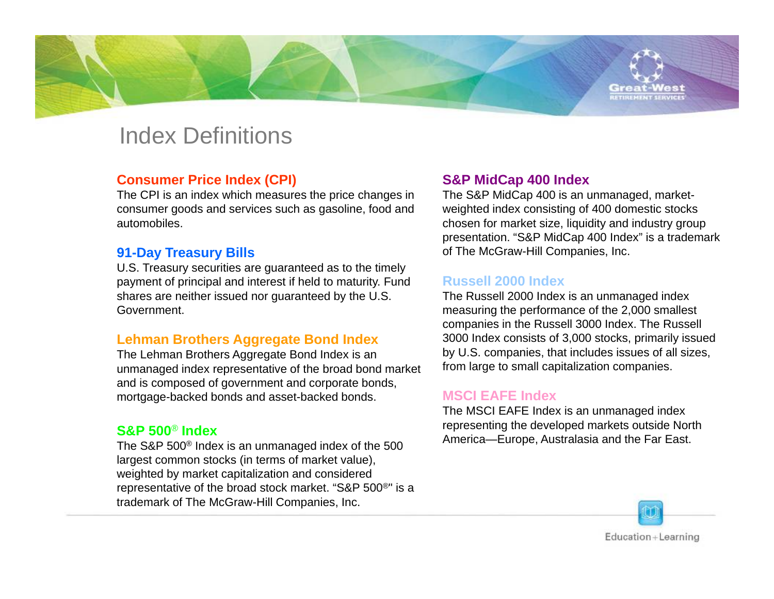### Index Definitions

#### **Consumer Price Index (CPI)**

The CPI is an index which measures the price changes in consumer goods and services such as gasoline, food and automobiles.

#### **91-Day Treasury Bills**

U.S. Treasury securities are guaranteed as to the timely payment of principal and interest if held to maturity. Fund shares are neither issued nor guaranteed by the U.S. Government.

#### **Lehman Brothers Aggregate Bond Index**

The Lehman Brothers Aggregate Bond Index is an unmanaged index representative of the broad bond market and is composed of government and corporate bonds, mortgage-backed bonds and asset-backed bonds.

#### **S&P 500**® **Index**

The S&P 500® Index is an unmanaged index of the 500 largest common stocks (in terms of market value), weighted by market capitalization and considered representative of the broad stock market. "S&P 500®" is a trademark of The McGraw-Hill Companies, Inc.

#### **S&P MidCap 400 Index**

The S&P MidCap 400 is an unmanaged, marketweighted index consisting of 400 domestic stocks chosen for market size, liquidity and industry group presentation. "S&P MidCap 400 Index" is a trademark of The McGraw-Hill Companies, Inc.

#### **Russell 2000 Index**

The Russell 2000 Index is an unmanaged index measuring the performance of the 2,000 smallest companies in the Russell 3000 Index. The Russell 3000 Index consists of 3,000 stocks, primarily issued by U.S. companies, that includes issues of all sizes, from large to small capitalization companies.

#### **MSCI EAFE Index**

The MSCI EAFE Index is an unmanaged index representing the developed markets outside North America—Europe, Australasia and the Far East.

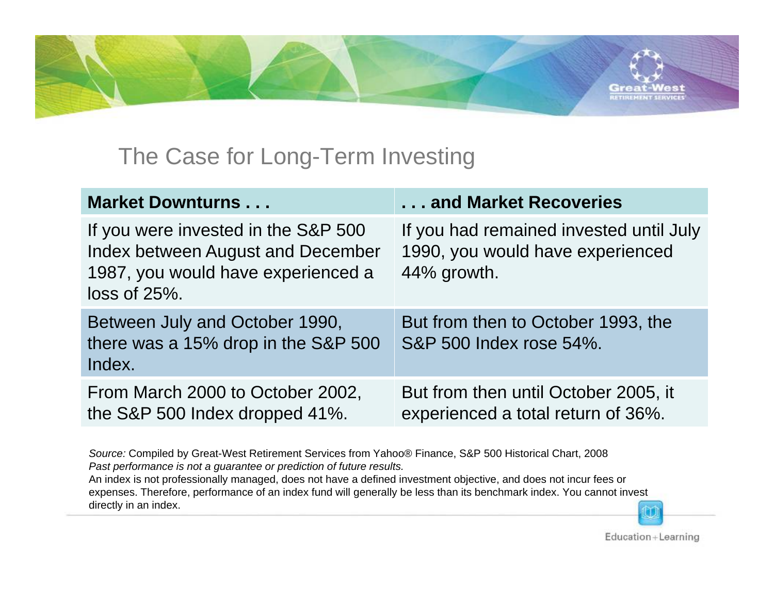

# The Case for Long-Term Investing

| <b>Market Downturns</b>                                                                                                           | and Market Recoveries                                                                      |
|-----------------------------------------------------------------------------------------------------------------------------------|--------------------------------------------------------------------------------------------|
| If you were invested in the S&P 500<br>Index between August and December<br>1987, you would have experienced a<br>$loss of 25\%.$ | If you had remained invested until July<br>1990, you would have experienced<br>44% growth. |
| Between July and October 1990,<br>there was a 15% drop in the S&P 500<br>Index.                                                   | But from then to October 1993, the<br>S&P 500 Index rose 54%.                              |
| From March 2000 to October 2002,<br>the S&P 500 Index dropped 41%.                                                                | But from then until October 2005, it<br>experienced a total return of 36%.                 |

*Source:* Compiled by Great-West Retirement Services from Yahoo® Finance, S&P 500 Historical Chart, 2008 *Past performance is not a guarantee or prediction of future results.*

An index is not professionally managed, does not have a defined investment objective, and does not incur fees or expenses. Therefore, performance of an index fund will generally be less than its benchmark index. You cannot invest directly in an index.

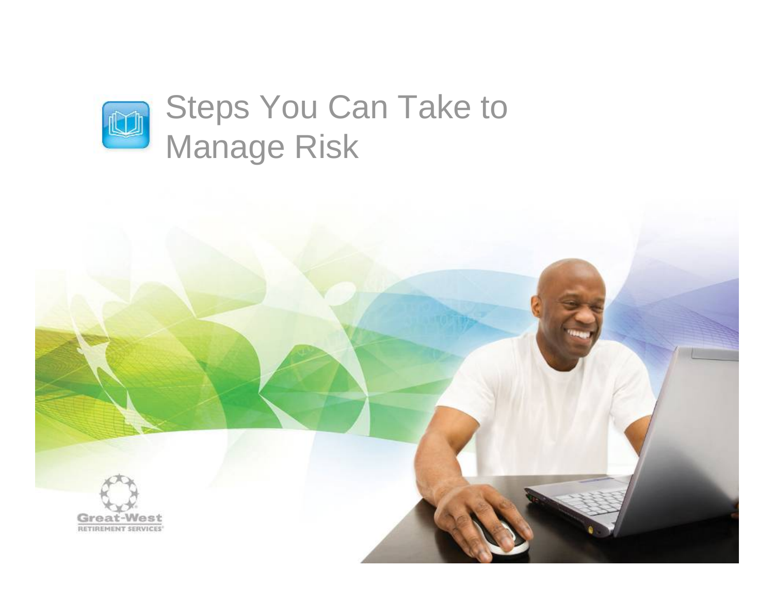

# Steps You Can Take to Manage Risk

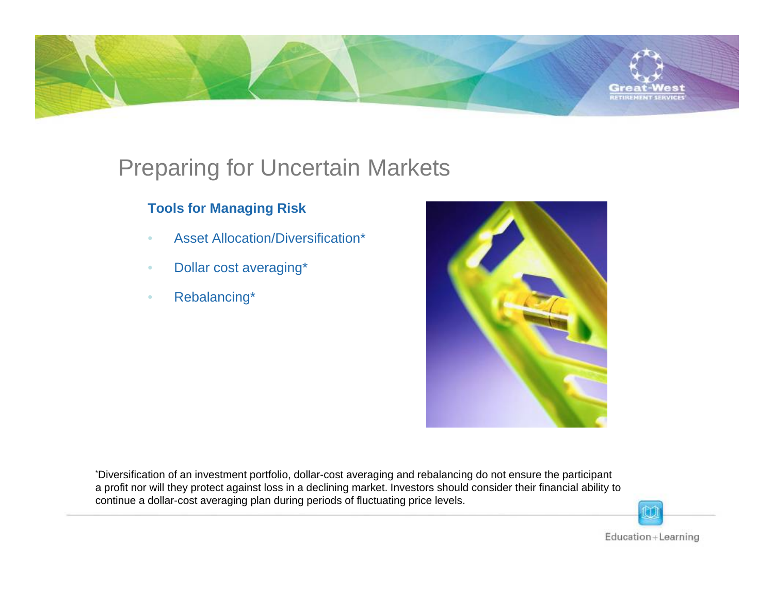

# Preparing for Uncertain Markets

#### **Tools for Managing Risk**

- •Asset Allocation/Diversification\*
- •Dollar cost averaging\*
- $\bullet$ Rebalancing\*



\*Diversification of an investment portfolio, dollar-cost averaging and rebalancing do not ensure the participant a profit nor will they protect against loss in a declining market. Investors should consider their financial ability to continue a dollar-cost averaging plan during periods of fluctuating price levels.

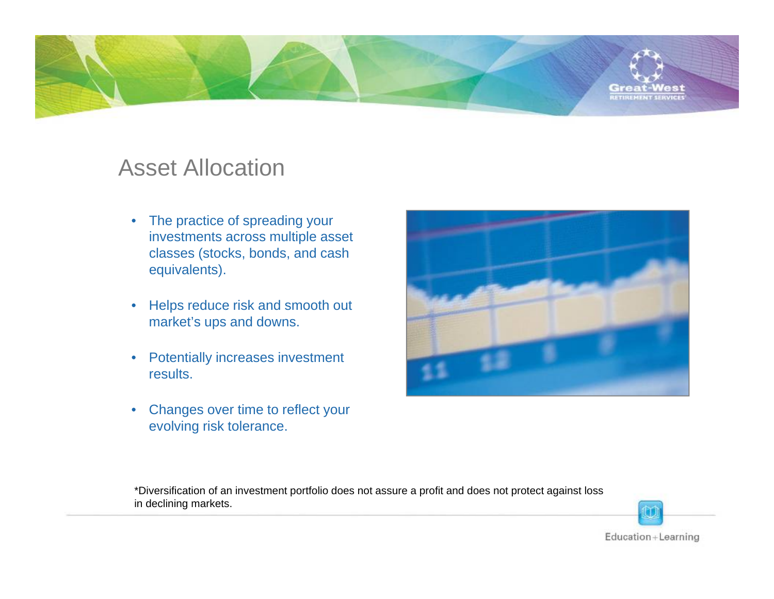

### Asset Allocation

- The practice of spreading your investments across multiple asset classes (stocks, bonds, and cash equivalents).
- • Helps reduce risk and smooth out market's ups and downs.
- $\bullet$  Potentially increases investment results.
- $\bullet$  Changes over time to reflect your evolving risk tolerance.



\*Diversification of an investment portfolio does not assure a profit and does not protect against loss in declining markets.

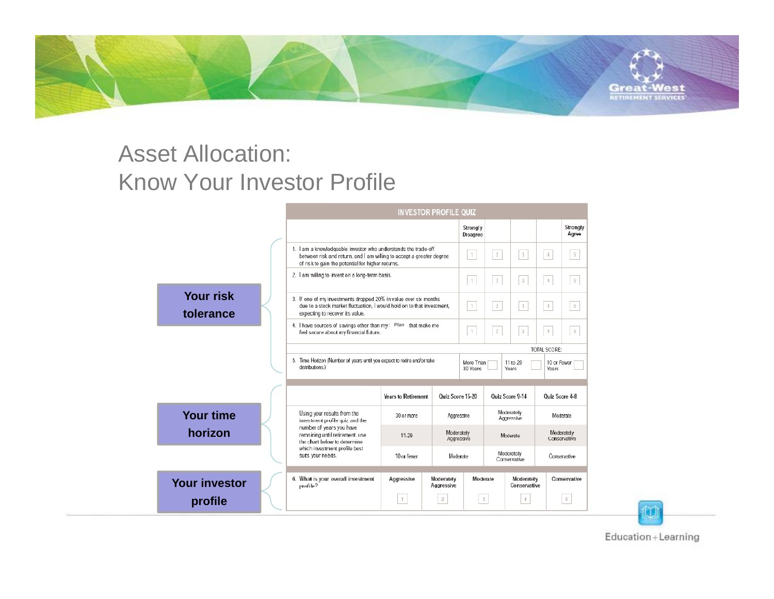

# Asset Allocation: Know Your Investor Profile

|                               |  | <b>INVESTOR PROFILE QUIZ</b>                                                                                                                                                                |                            |                          |                       |                            |                            |                            |                   |
|-------------------------------|--|---------------------------------------------------------------------------------------------------------------------------------------------------------------------------------------------|----------------------------|--------------------------|-----------------------|----------------------------|----------------------------|----------------------------|-------------------|
|                               |  |                                                                                                                                                                                             |                            |                          | Strongly<br>Disagree  |                            |                            |                            | Strongly<br>Agree |
|                               |  | 1. I am a knowledgeable investor who understands the trade-off<br>between risk and return, and I am willing to accept a greater degree<br>of risk to gain the potential for higher returns. |                            | $\uparrow$               | $\overline{2}$        | $_{3}$                     | $\frac{1}{2}$              | $\sqrt{5}$                 |                   |
|                               |  | 2. I am willing to invest on a long-term basis.                                                                                                                                             |                            |                          | $\uparrow$            | $\mathbf{2}$               | $^3$                       | $\overline{4}$             | $5\phantom{.0}$   |
| <b>Your risk</b><br>tolerance |  | 3. If one of my investments dropped 20% in value over six months<br>due to a stock market fluctuation, I would hold on to that investment,<br>expecting to recover its value.               |                            |                          | $\uparrow$            | $\mathbf{2}$               | $\overline{3}$             | $\frac{4}{3}$              | $\overline{5}$    |
|                               |  | 4. I have sources of savings other than my   Plan that make me<br>feel secure about my financial future.                                                                                    |                            |                          | $\uparrow$            | $\overline{2}$             | $_{3}$                     | $\overline{4}$             | $\sqrt{5}$        |
|                               |  |                                                                                                                                                                                             |                            | TOTAL SCORE:             |                       |                            |                            |                            |                   |
|                               |  | 5. Time Horizon (Number of years until you expect to retire and/or take<br>distributions.)                                                                                                  |                            |                          | More Than<br>30 Years |                            | 11 to 29<br>Years          | 10 or Fewer<br>Years       |                   |
|                               |  |                                                                                                                                                                                             | <b>Years to Retirement</b> | Quiz Score 15-20         |                       |                            | <b>Quiz Score 9-14</b>     | <b>Ouiz Score 4-8</b>      |                   |
| <b>Your time</b>              |  | Using your results from the<br>investment profile quiz and the                                                                                                                              | 30 or more                 | Aggressive               |                       | Moderately<br>Aggressive   |                            | Moderate                   |                   |
| horizon                       |  | number of years you have<br>remaining until retirement, use<br>the chart below to determine                                                                                                 | 11-29                      | Moderately<br>Aggressive |                       | Moderate                   |                            | Moderately<br>Conservative |                   |
|                               |  | which investment profile best<br>suits your needs.                                                                                                                                          | 10 or fewer                | Moderate                 |                       | Moderately<br>Conservative |                            | Conservative               |                   |
| <b>Your investor</b>          |  | 6. What is your overall investment<br>profile?                                                                                                                                              | Aggressive                 | Moderately<br>Aggressive | Moderate              |                            | Moderately<br>Conservative |                            | Conservative      |
| profile                       |  |                                                                                                                                                                                             | $\mathbf{1}$               | $\overline{2}$           | 3                     |                            | $\frac{4}{3}$              |                            | $\sqrt{5}$        |

Education+Learning

Ù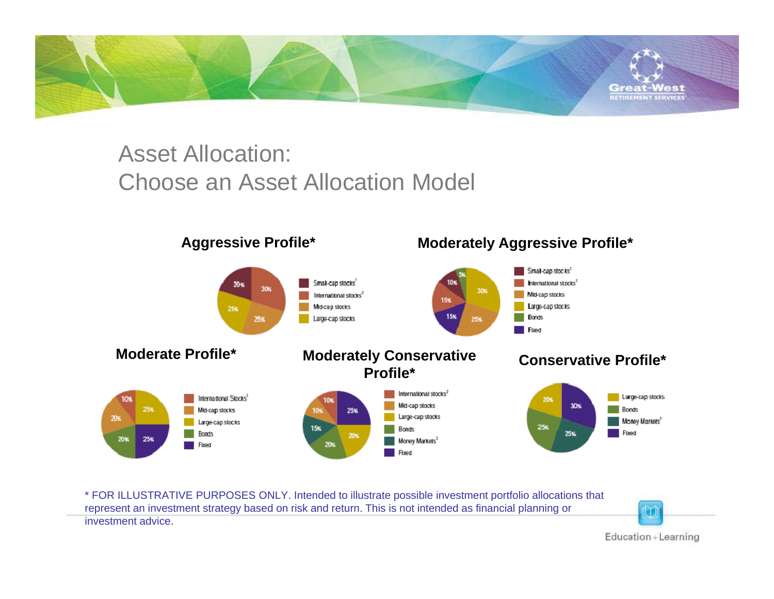

# Asset Allocation: Choose an Asset Allocation Model



\* FOR ILLUSTRATIVE PURPOSES ONLY. Intended to illustrate possible investment portfolio allocations that represent an investment strategy based on risk and return. This is not intended as financial planning or investment advice.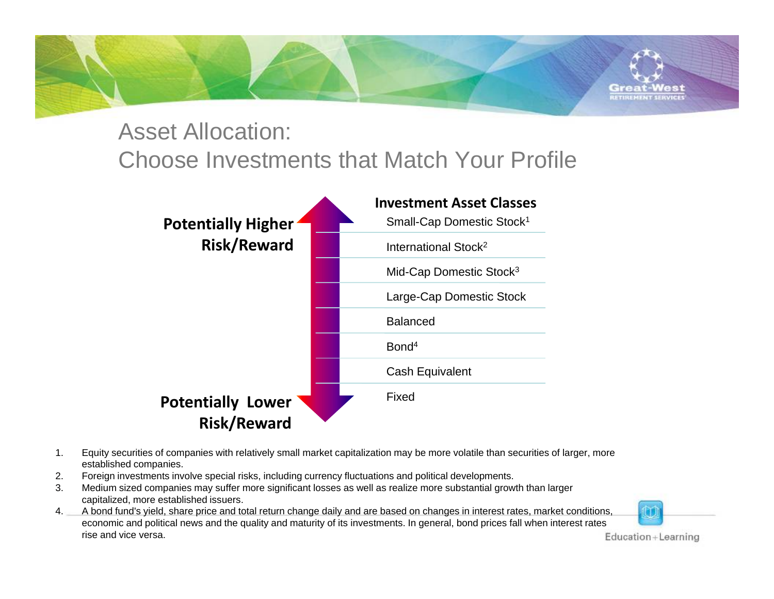

### Asset Allocation:

# Choose Investments that Match Your Profile



- 1. Equity securities of companies with relatively small market capitalization may be more volatile than securities of larger, more established companies.
- 2.Foreign investments involve special risks, including currency fluctuations and political developments.
- 3. Medium sized companies may suffer more significant losses as well as realize more substantial growth than larger capitalized, more established issuers.
- 4. A bond fund's yield, share price and total return change daily and are based on changes in interest rates, market conditions, economic and political news and the quality and maturity of its investments. In general, bond prices fall when interest rates rise and vice versa.

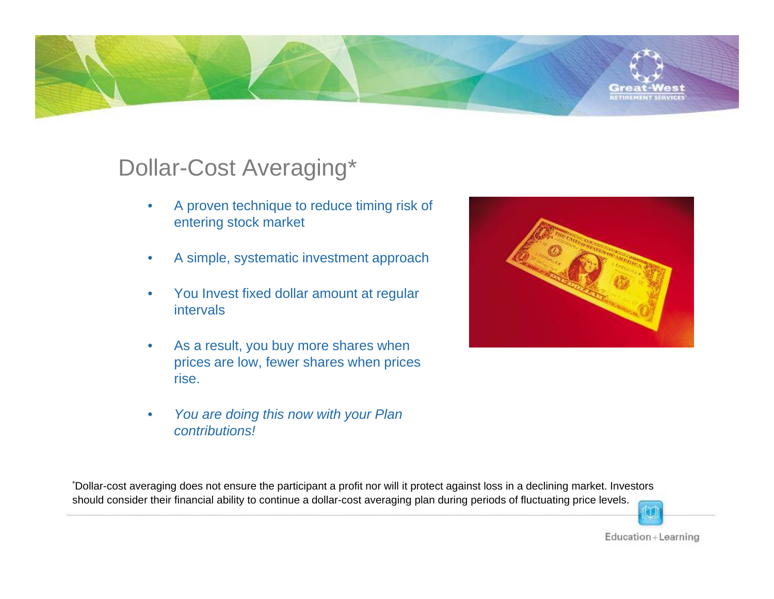

# Dollar-Cost Averaging\*

- • A proven technique to reduce timing risk of entering stock market
- •A simple, systematic investment approach
- • You Invest fixed dollar amount at regular intervals
- • As a result, you buy more shares when prices are low, fewer shares when prices rise.
- • *You are doing this now with your Plan contributions!*



\*Dollar-cost averaging does not ensure the participant a profit nor will it protect against loss in a declining market. Investor s should consider their financial ability to continue a dollar-cost averaging plan during periods of fluctuating price levels.

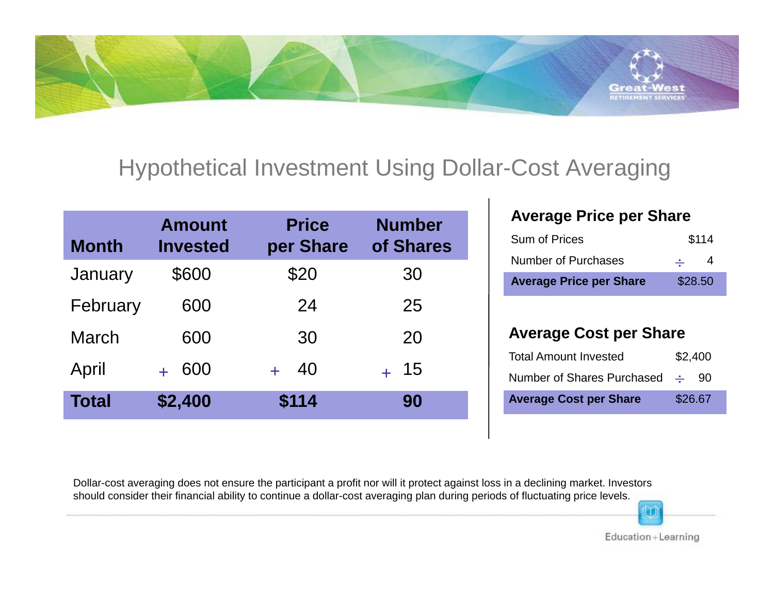

# Hypothetical Investment Using Dollar-Cost Averaging

| <b>Month</b> | <b>Amount</b><br><b>Invested</b> | <b>Price</b><br>per Share | <b>Number</b><br>of Shares |
|--------------|----------------------------------|---------------------------|----------------------------|
| January      | \$600                            | \$20                      | 30                         |
| February     | 600                              | 24                        | 25                         |
| <b>March</b> | 600                              | 30                        | 20                         |
| April        | 600                              | 40                        | 15                         |
| <b>Total</b> | \$2,400                          | \$114                     | 90                         |

#### **Average Price per Share**

| <b>Average Price per Share</b> | \$28.50            |
|--------------------------------|--------------------|
| <b>Number of Purchases</b>     | 4<br>$\frac{1}{2}$ |
| <b>Sum of Prices</b>           | \$114              |

#### **Average Cost per Share**

| <b>Average Cost per Share</b>     |  | \$26.67 |
|-----------------------------------|--|---------|
| Number of Shares Purchased $\div$ |  | -90     |
| <b>Total Amount Invested</b>      |  | \$2,400 |

Dollar-cost averaging does not ensure the participant a profit nor will it protect against loss in a declining market. Investor s should consider their financial ability to continue a dollar-cost averaging plan during periods of fluctuating price levels.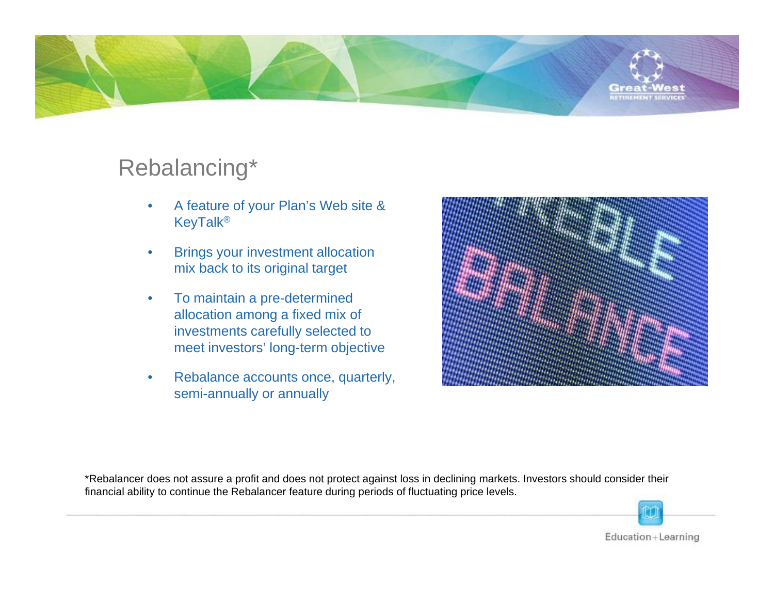

# Rebalancing\*

- • A feature of your Plan's Web site & KeyTalk®
- • Brings your investment allocation mix back to its original target
- $\bullet$  To maintain a pre-determined allocation among a fixed mix of investments carefully selected to meet investors' long-term objective
- • Rebalance accounts once, quarterly, semi-annually or annually



\*Rebalancer does not assure a profit and does not protect against loss in declining markets. Investors should consider their financial ability to continue the Rebalancer feature during periods of fluctuating price levels.

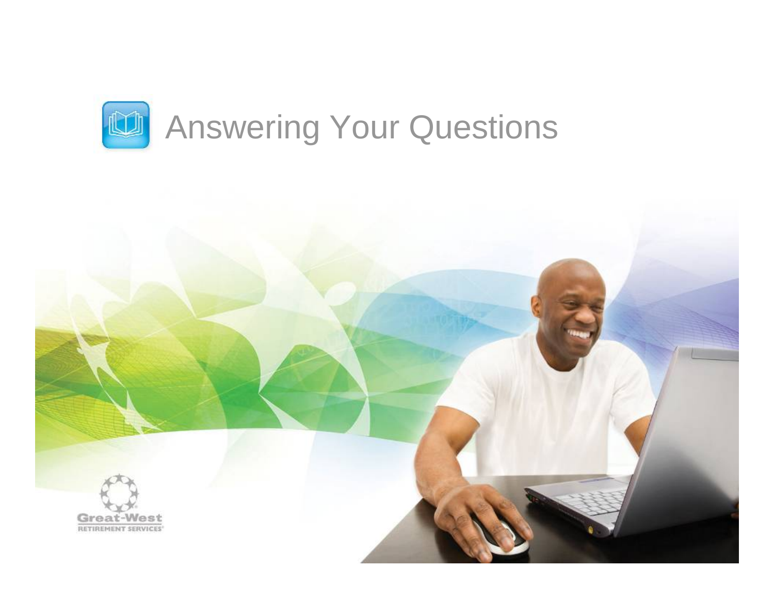

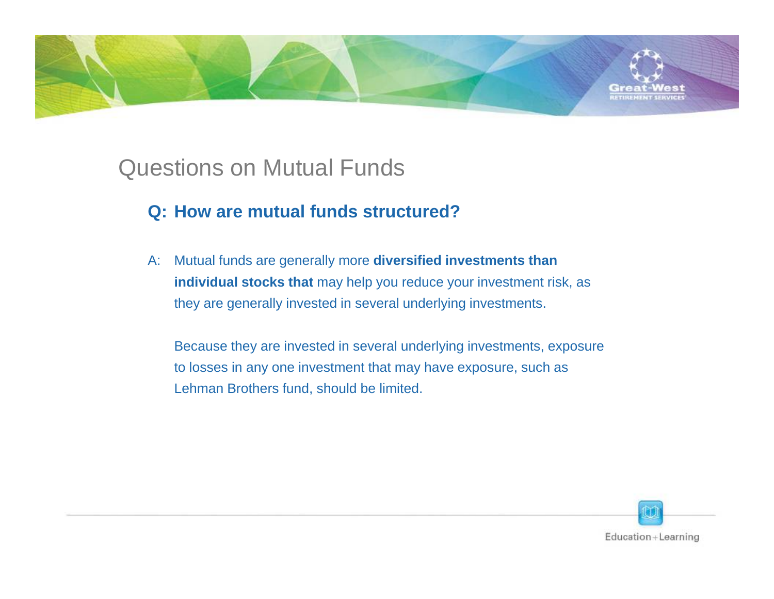

- **Q: How are mutual funds structured?**
- A: Mutual funds are generally more **diversified investments than individual stocks that** may help you reduce your investment risk, as they are generally invested in several underlying investments.

Because they are invested in several underlying investments, exposure to losses in any one investment that may have exposure, such as Lehman Brothers fund, should be limited.

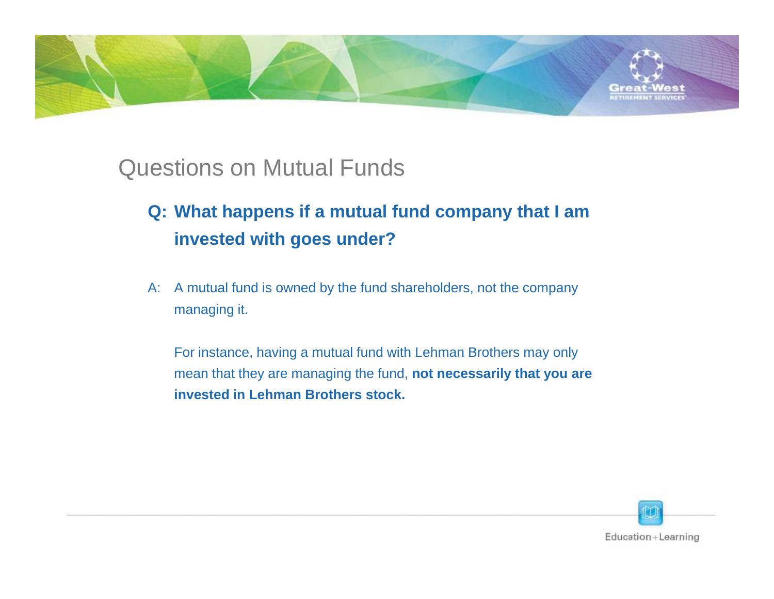

### Questions on Mutual Funds

- **Q: What happens if a mutual fund company that I am invested with goes under?**
- A: A mutual fund is owned by the fund shareholders, not the company managing it.

For instance, having a mutual fund with Lehman Brothers may only mean that they are managing the fund, **not necessarily that you are invested in Lehman Brothers stock.**

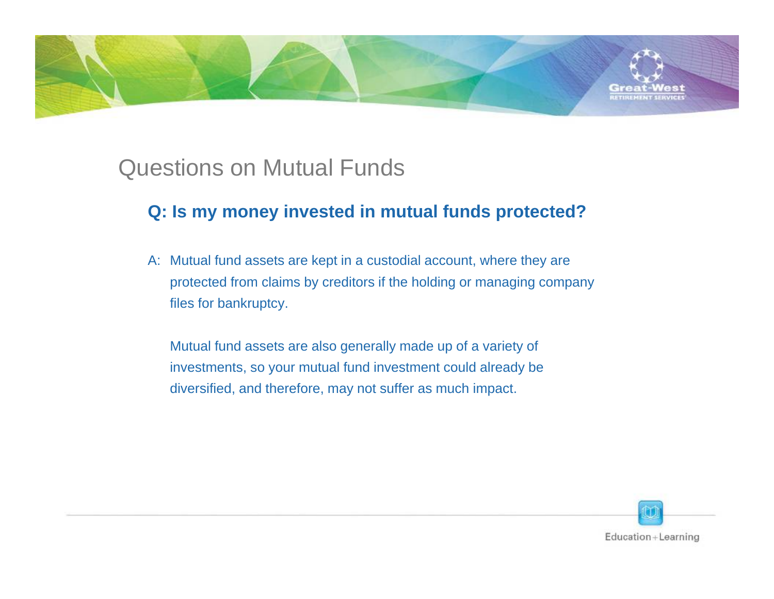

# Questions on Mutual Funds

#### **Q: Is my money invested in mutual funds protected?**

A: Mutual fund assets are kept in a custodial account, where they are protected from claims by creditors if the holding or managing company files for bankruptcy.

Mutual fund assets are also generally made up of a variety of investments, so your mutual fund investment could already be diversified, and therefore, may not suffer as much impact.

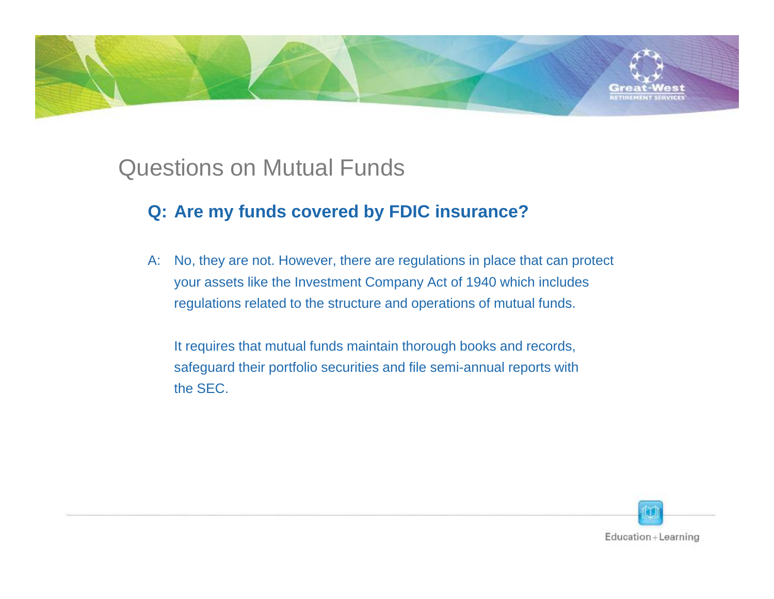

# Questions on Mutual Funds

#### **Q: Are my funds covered by FDIC insurance?**

A: No, they are not. However, there are regulations in place that can protect your assets like the Investment Company Act of 1940 which includes regulations related to the structure and operations of mutual funds.

It requires that mutual funds maintain thorough books and records, safeguard their portfolio securities and file semi-annual reports with the SEC.

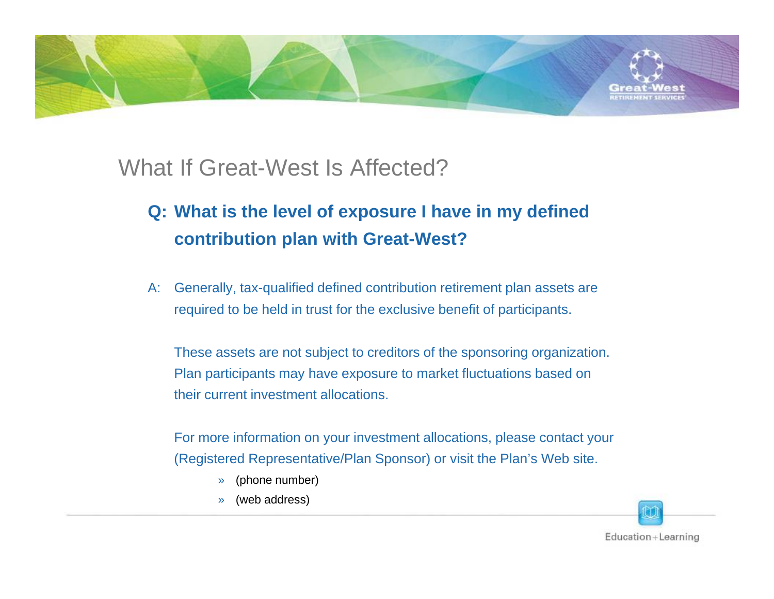

### What If Great-West Is Affected?

### **Q: What is the level of exposure I have in my defined contribution plan with Great-West?**

A: Generally, tax-qualified defined contribution retirement plan assets are required to be held in trust for the exclusive benefit of participants.

These assets are not subject to creditors of the sponsoring organization. Plan participants may have exposure to market fluctuations based on their current investment allocations.

For more information on your investment allocations, please contact your (Registered Representative/Plan Sponsor) or visit the Plan's Web site.

- »(phone number)
- »(web address)

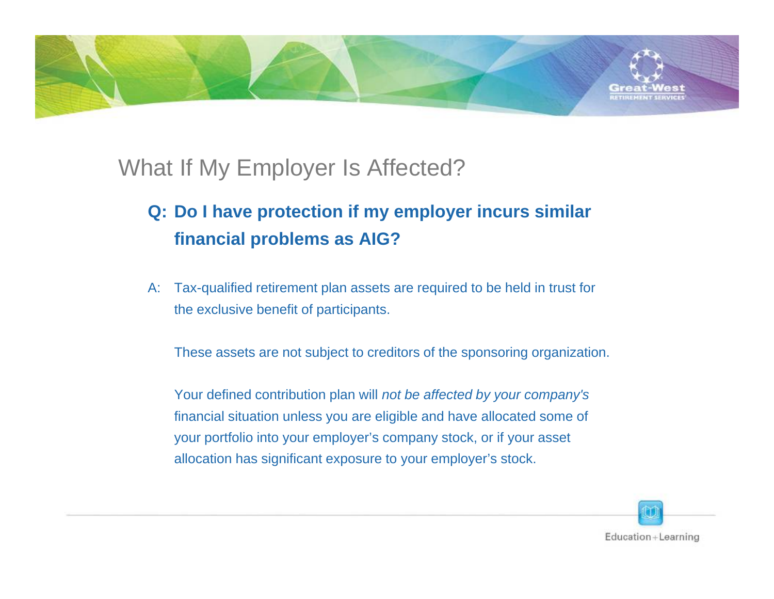

# What If My Employer Is Affected?

### **Q: Do I have protection if my employer incurs similar financial problems as AIG?**

A: Tax-qualified retirement plan assets are required to be held in trust for the exclusive benefit of participants.

These assets are not subject to creditors of the sponsoring organization.

Your defined contribution plan will *not be affected by your company's*  financial situation unless you are eligible and have allocated some of your portfolio into your employer's company stock, or if your asset allocation has significant exposure to your employer's stock.

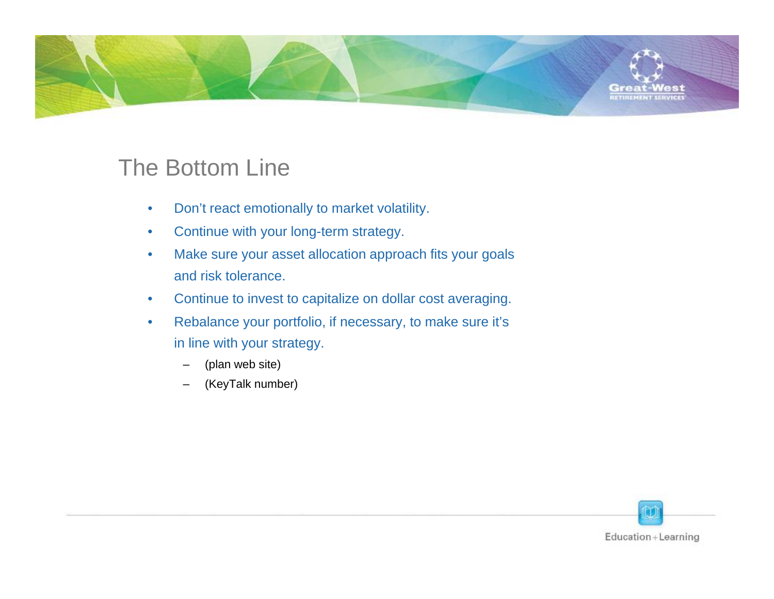

# The Bottom Line

- $\bullet$ Don't react emotionally to market volatility.
- $\bullet$ Continue with your long-term strategy.
- • Make sure your asset allocation approach fits your goals and risk tolerance.
- $\bullet$ Continue to invest to capitalize on dollar cost averaging.
- $\bullet$  Rebalance your portfolio, if necessary, to make sure it's in line with your strategy.
	- (plan web site)
	- (KeyTalk number)